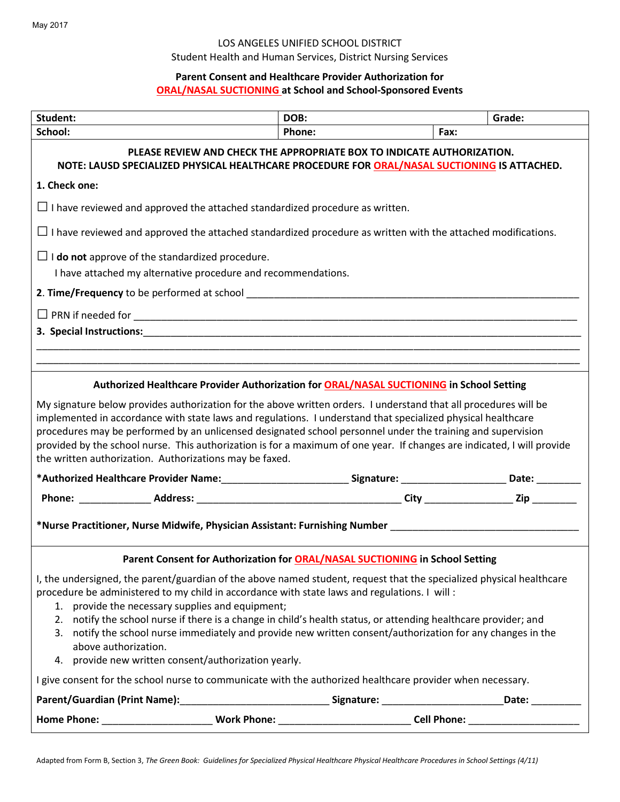#### LOS ANGELES UNIFIED SCHOOL DISTRICT

Student Health and Human Services, District Nursing Services

## **Parent Consent and Healthcare Provider Authorization for**

### **ORAL/NASAL SUCTIONING at School and School-Sponsored Events**

| Student:                                                                                                                                                                                                                                                                                                                                                                                                                                                                                                                                                                                      | DOB:   | Grade: |  |
|-----------------------------------------------------------------------------------------------------------------------------------------------------------------------------------------------------------------------------------------------------------------------------------------------------------------------------------------------------------------------------------------------------------------------------------------------------------------------------------------------------------------------------------------------------------------------------------------------|--------|--------|--|
| School:                                                                                                                                                                                                                                                                                                                                                                                                                                                                                                                                                                                       | Phone: | Fax:   |  |
| PLEASE REVIEW AND CHECK THE APPROPRIATE BOX TO INDICATE AUTHORIZATION.<br>NOTE: LAUSD SPECIALIZED PHYSICAL HEALTHCARE PROCEDURE FOR ORAL/NASAL SUCTIONING IS ATTACHED.                                                                                                                                                                                                                                                                                                                                                                                                                        |        |        |  |
| 1. Check one:                                                                                                                                                                                                                                                                                                                                                                                                                                                                                                                                                                                 |        |        |  |
| $\Box$ I have reviewed and approved the attached standardized procedure as written.                                                                                                                                                                                                                                                                                                                                                                                                                                                                                                           |        |        |  |
| $\Box$ I have reviewed and approved the attached standardized procedure as written with the attached modifications.                                                                                                                                                                                                                                                                                                                                                                                                                                                                           |        |        |  |
| $\Box$ <b>I do not</b> approve of the standardized procedure.<br>I have attached my alternative procedure and recommendations.                                                                                                                                                                                                                                                                                                                                                                                                                                                                |        |        |  |
|                                                                                                                                                                                                                                                                                                                                                                                                                                                                                                                                                                                               |        |        |  |
|                                                                                                                                                                                                                                                                                                                                                                                                                                                                                                                                                                                               |        |        |  |
| 3. Special Instructions: Entrance of the Contract of the Contract of the Contract of the Contract of the Contract of the Contract of the Contract of the Contract of the Contract of the Contract of the Contract of the Contr                                                                                                                                                                                                                                                                                                                                                                |        |        |  |
|                                                                                                                                                                                                                                                                                                                                                                                                                                                                                                                                                                                               |        |        |  |
|                                                                                                                                                                                                                                                                                                                                                                                                                                                                                                                                                                                               |        |        |  |
| Authorized Healthcare Provider Authorization for ORAL/NASAL SUCTIONING in School Setting                                                                                                                                                                                                                                                                                                                                                                                                                                                                                                      |        |        |  |
| My signature below provides authorization for the above written orders. I understand that all procedures will be<br>implemented in accordance with state laws and regulations. I understand that specialized physical healthcare<br>procedures may be performed by an unlicensed designated school personnel under the training and supervision<br>provided by the school nurse. This authorization is for a maximum of one year. If changes are indicated, I will provide<br>the written authorization. Authorizations may be faxed.                                                         |        |        |  |
| *Authorized Healthcare Provider Name:___________________________Signature: _______________________Date: ___________                                                                                                                                                                                                                                                                                                                                                                                                                                                                           |        |        |  |
|                                                                                                                                                                                                                                                                                                                                                                                                                                                                                                                                                                                               |        |        |  |
| *Nurse Practitioner, Nurse Midwife, Physician Assistant: Furnishing Number Number Assemble Demonstration of th                                                                                                                                                                                                                                                                                                                                                                                                                                                                                |        |        |  |
| Parent Consent for Authorization for ORAL/NASAL SUCTIONING in School Setting                                                                                                                                                                                                                                                                                                                                                                                                                                                                                                                  |        |        |  |
| I, the undersigned, the parent/guardian of the above named student, request that the specialized physical healthcare<br>procedure be administered to my child in accordance with state laws and regulations. I will:<br>1. provide the necessary supplies and equipment;<br>2. notify the school nurse if there is a change in child's health status, or attending healthcare provider; and<br>3. notify the school nurse immediately and provide new written consent/authorization for any changes in the<br>above authorization.<br>provide new written consent/authorization yearly.<br>4. |        |        |  |
| I give consent for the school nurse to communicate with the authorized healthcare provider when necessary.                                                                                                                                                                                                                                                                                                                                                                                                                                                                                    |        |        |  |
| Parent/Guardian (Print Name):__________________________________Signature: _________________________Date: ___________                                                                                                                                                                                                                                                                                                                                                                                                                                                                          |        |        |  |
|                                                                                                                                                                                                                                                                                                                                                                                                                                                                                                                                                                                               |        |        |  |
|                                                                                                                                                                                                                                                                                                                                                                                                                                                                                                                                                                                               |        |        |  |